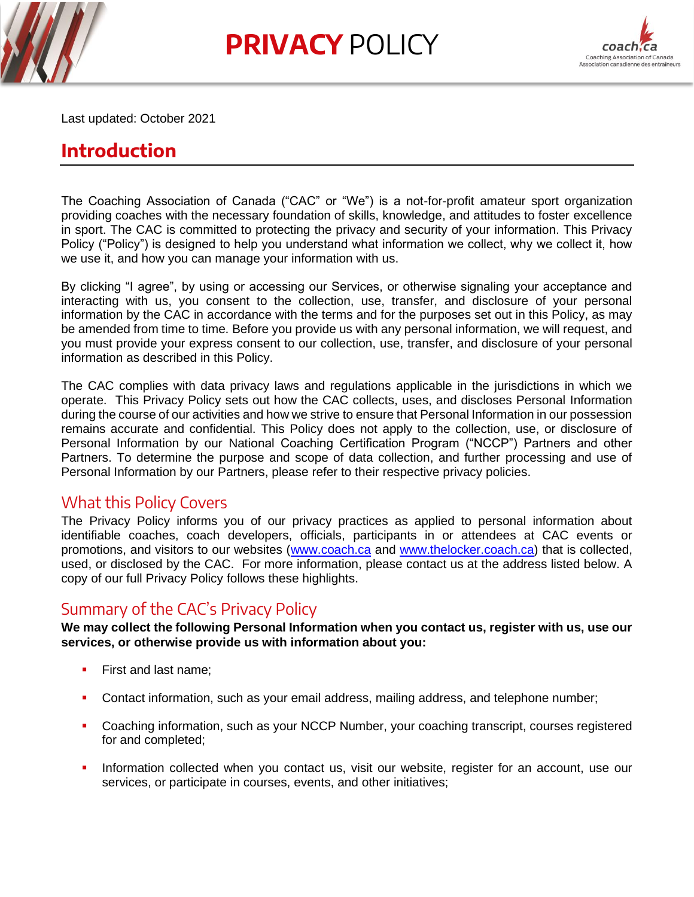

**PRIVACY** POLICY



Last updated: October 2021

# **Introduction**

The Coaching Association of Canada ("CAC" or "We") is a not-for-profit amateur sport organization providing coaches with the necessary foundation of skills, knowledge, and attitudes to foster excellence in sport. The CAC is committed to protecting the privacy and security of your information. This Privacy Policy ("Policy") is designed to help you understand what information we collect, why we collect it, how we use it, and how you can manage your information with us.

By clicking "I agree", by using or accessing our Services, or otherwise signaling your acceptance and interacting with us, you consent to the collection, use, transfer, and disclosure of your personal information by the CAC in accordance with the terms and for the purposes set out in this Policy, as may be amended from time to time. Before you provide us with any personal information, we will request, and you must provide your express consent to our collection, use, transfer, and disclosure of your personal information as described in this Policy.

The CAC complies with data privacy laws and regulations applicable in the jurisdictions in which we operate. This Privacy Policy sets out how the CAC collects, uses, and discloses Personal Information during the course of our activities and how we strive to ensure that Personal Information in our possession remains accurate and confidential. This Policy does not apply to the collection, use, or disclosure of Personal Information by our National Coaching Certification Program ("NCCP") Partners and other Partners. To determine the purpose and scope of data collection, and further processing and use of Personal Information by our Partners, please refer to their respective privacy policies.

## What this Policy Covers

The Privacy Policy informs you of our privacy practices as applied to personal information about identifiable coaches, coach developers, officials, participants in or attendees at CAC events or promotions, and visitors to our websites [\(www.coach.ca](http://www.coach.ca/) and [www.thelocker.coach.ca\)](http://www.thelocker.coach.ca/) that is collected, used, or disclosed by the CAC. For more information, please contact us at the address listed below. A copy of our full Privacy Policy follows these highlights.

# Summary of the CAC's Privacy Policy

**We may collect the following Personal Information when you contact us, register with us, use our services, or otherwise provide us with information about you:**

- First and last name:
- Contact information, such as your email address, mailing address, and telephone number;
- Coaching information, such as your NCCP Number, your coaching transcript, courses registered for and completed;
- Information collected when you contact us, visit our website, register for an account, use our services, or participate in courses, events, and other initiatives;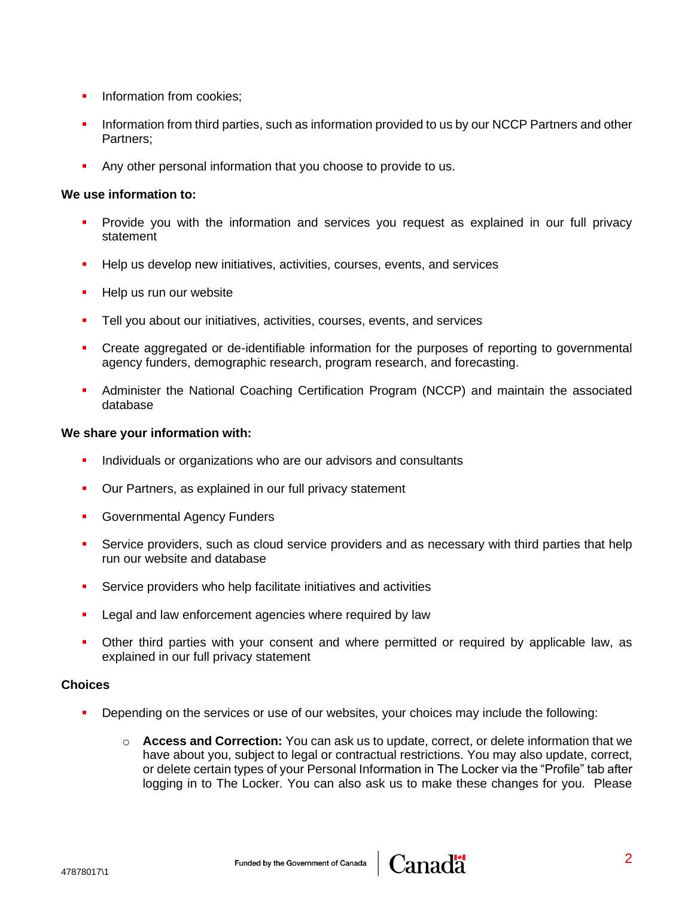- **·** Information from cookies;
- **.** Information from third parties, such as information provided to us by our NCCP Partners and other Partners;
- **EXECT** Any other personal information that you choose to provide to us.

#### **We use information to:**

- Provide you with the information and services you request as explained in our full privacy statement
- Help us develop new initiatives, activities, courses, events, and services
- Help us run our website
- Tell you about our initiatives, activities, courses, events, and services
- **•** Create aggregated or de-identifiable information for the purposes of reporting to governmental agency funders, demographic research, program research, and forecasting.
- **•** Administer the National Coaching Certification Program (NCCP) and maintain the associated database

#### **We share your information with:**

- **.** Individuals or organizations who are our advisors and consultants
- Our Partners, as explained in our full privacy statement
- **Governmental Agency Funders**
- Service providers, such as cloud service providers and as necessary with third parties that help run our website and database
- Service providers who help facilitate initiatives and activities
- Legal and law enforcement agencies where required by law
- Other third parties with your consent and where permitted or required by applicable law, as explained in our full privacy statement

#### **Choices**

- Depending on the services or use of our websites, your choices may include the following:
	- o **Access and Correction:** You can ask us to update, correct, or delete information that we have about you, subject to legal or contractual restrictions. You may also update, correct, or delete certain types of your Personal Information in The Locker via the "Profile" tab after logging in to The Locker. You can also ask us to make these changes for you. Please

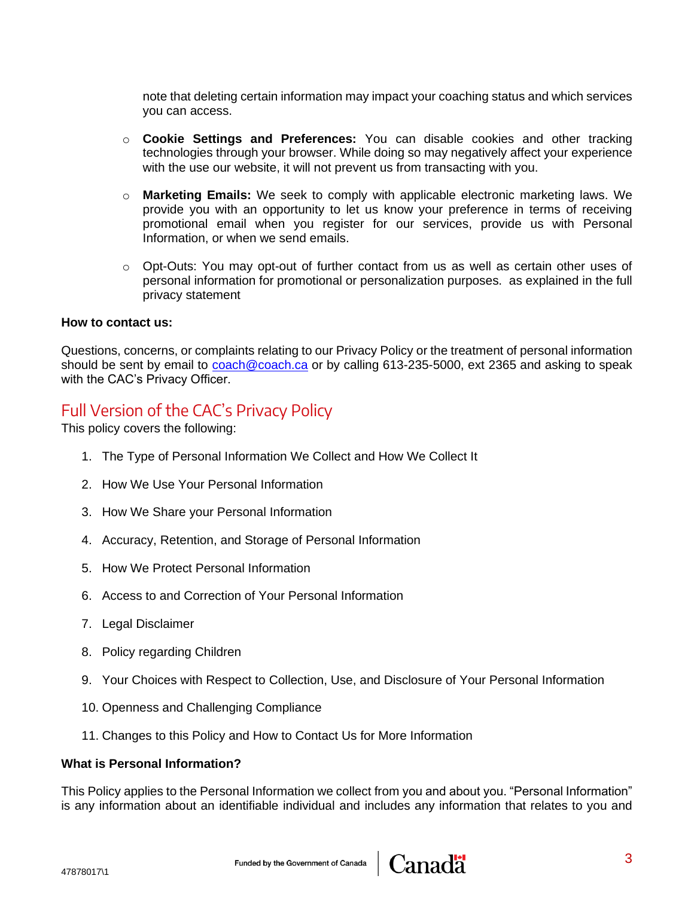note that deleting certain information may impact your coaching status and which services you can access.

- o **Cookie Settings and Preferences:** You can disable cookies and other tracking technologies through your browser. While doing so may negatively affect your experience with the use our website, it will not prevent us from transacting with you.
- o **Marketing Emails:** We seek to comply with applicable electronic marketing laws. We provide you with an opportunity to let us know your preference in terms of receiving promotional email when you register for our services, provide us with Personal Information, or when we send emails.
- $\circ$  Opt-Outs: You may opt-out of further contact from us as well as certain other uses of personal information for promotional or personalization purposes. as explained in the full privacy statement

#### **How to contact us:**

Questions, concerns, or complaints relating to our Privacy Policy or the treatment of personal information should be sent by email to [coach@coach.ca](mailto:coach@coach.ca) or by calling 613-235-5000, ext 2365 and asking to speak with the CAC's Privacy Officer.

## Full Version of the CAC's Privacy Policy

This policy covers the following:

- 1. The Type of Personal Information We Collect and How We Collect It
- 2. How We Use Your Personal Information
- 3. How We Share your Personal Information
- 4. Accuracy, Retention, and Storage of Personal Information
- 5. How We Protect Personal Information
- 6. Access to and Correction of Your Personal Information
- 7. Legal Disclaimer
- 8. Policy regarding Children
- 9. Your Choices with Respect to Collection, Use, and Disclosure of Your Personal Information
- 10. Openness and Challenging Compliance
- 11. Changes to this Policy and How to Contact Us for More Information

#### **What is Personal Information?**

This Policy applies to the Personal Information we collect from you and about you. "Personal Information" is any information about an identifiable individual and includes any information that relates to you and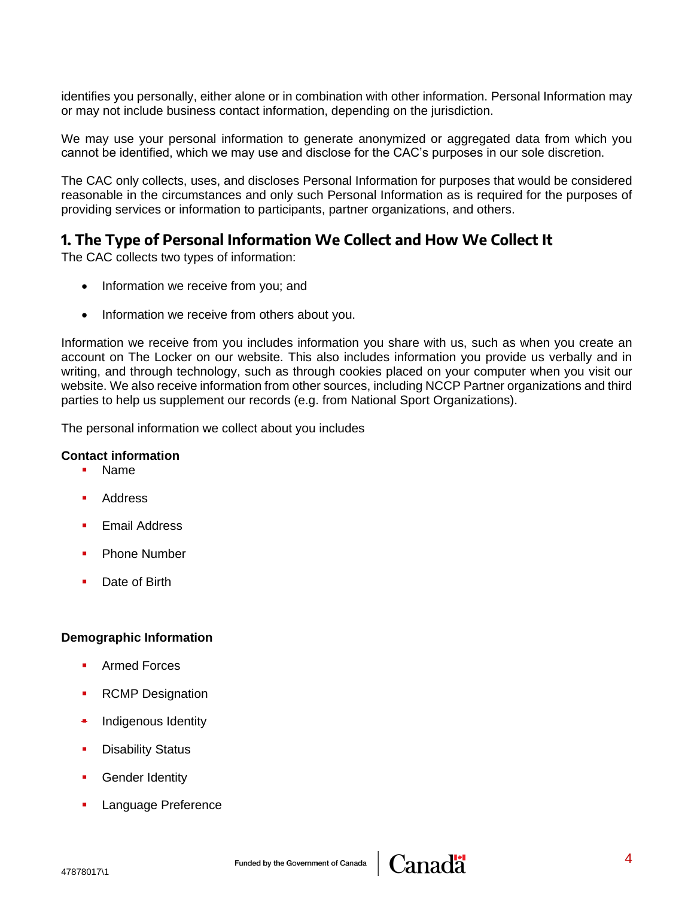identifies you personally, either alone or in combination with other information. Personal Information may or may not include business contact information, depending on the jurisdiction.

We may use your personal information to generate anonymized or aggregated data from which you cannot be identified, which we may use and disclose for the CAC's purposes in our sole discretion.

The CAC only collects, uses, and discloses Personal Information for purposes that would be considered reasonable in the circumstances and only such Personal Information as is required for the purposes of providing services or information to participants, partner organizations, and others.

## **1. The Type of Personal Information We Collect and How We Collect It**

The CAC collects two types of information:

- Information we receive from you; and
- Information we receive from others about you.

Information we receive from you includes information you share with us, such as when you create an account on The Locker on our website. This also includes information you provide us verbally and in writing, and through technology, such as through cookies placed on your computer when you visit our website. We also receive information from other sources, including NCCP Partner organizations and third parties to help us supplement our records (e.g. from National Sport Organizations).

The personal information we collect about you includes

#### **Contact information**

- Name
- **Address**
- **Email Address**
- Phone Number
- Date of Birth

#### **Demographic Information**

- Armed Forces
- RCMP Designation
- Indigenous Identity
- **Disability Status**
- **Gender Identity**
- **Language Preference**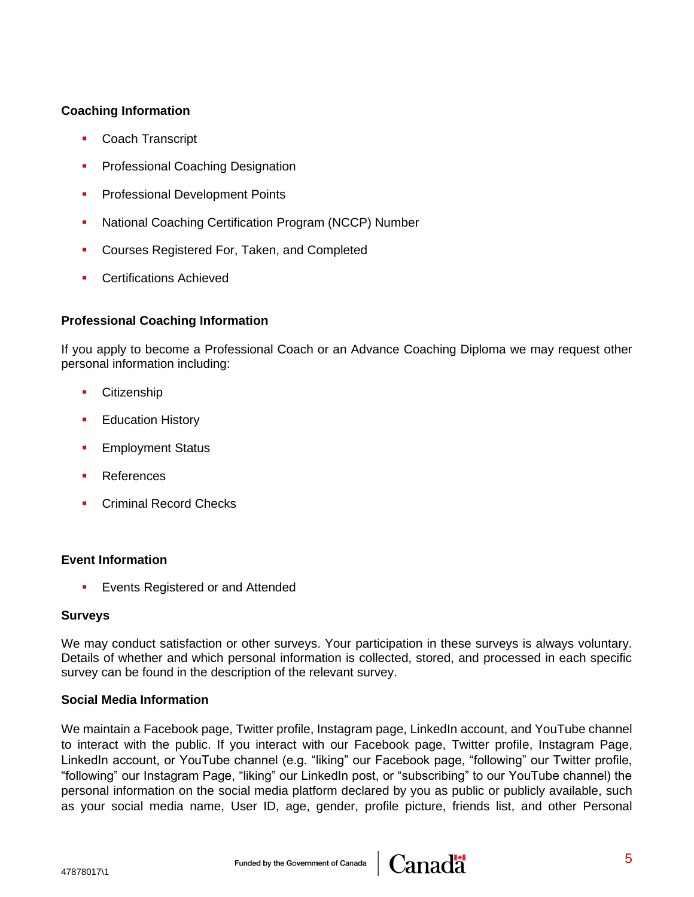### **Coaching Information**

- **Coach Transcript**
- **Professional Coaching Designation**
- **Professional Development Points**
- National Coaching Certification Program (NCCP) Number
- **Courses Registered For, Taken, and Completed**
- Certifications Achieved

### **Professional Coaching Information**

If you apply to become a Professional Coach or an Advance Coaching Diploma we may request other personal information including:

- **Citizenship**
- **Education History**
- **Employment Status**
- **References**
- **Criminal Record Checks**

### **Event Information**

**Exents Registered or and Attended** 

### **Surveys**

We may conduct satisfaction or other surveys. Your participation in these surveys is always voluntary. Details of whether and which personal information is collected, stored, and processed in each specific survey can be found in the description of the relevant survey.

### **Social Media Information**

We maintain a Facebook page, Twitter profile, Instagram page, LinkedIn account, and YouTube channel to interact with the public. If you interact with our Facebook page, Twitter profile, Instagram Page, LinkedIn account, or YouTube channel (e.g. "liking" our Facebook page, "following" our Twitter profile, "following" our Instagram Page, "liking" our LinkedIn post, or "subscribing" to our YouTube channel) the personal information on the social media platform declared by you as public or publicly available, such as your social media name, User ID, age, gender, profile picture, friends list, and other Personal

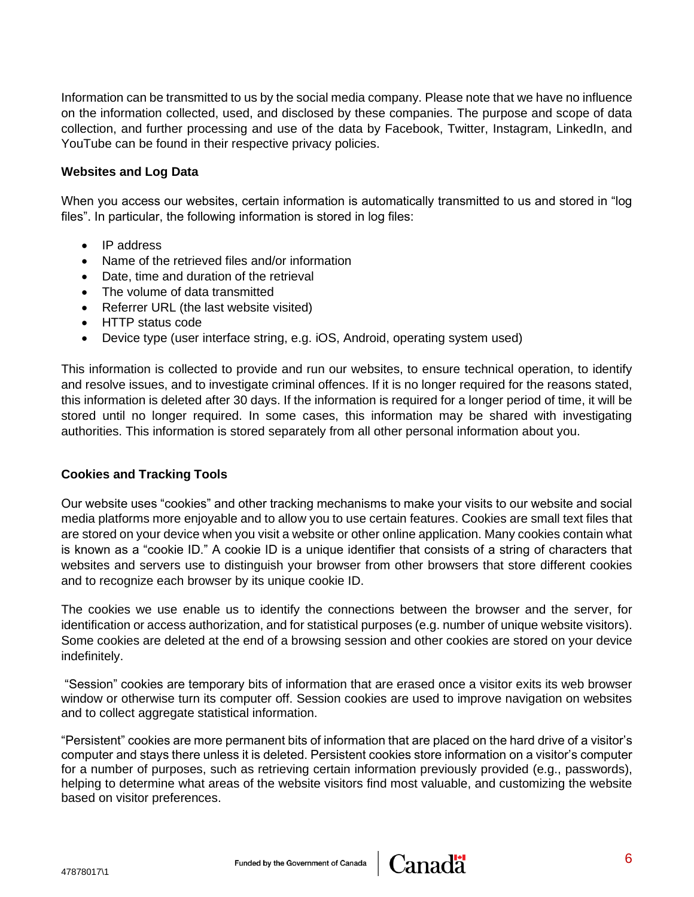Information can be transmitted to us by the social media company. Please note that we have no influence on the information collected, used, and disclosed by these companies. The purpose and scope of data collection, and further processing and use of the data by Facebook, Twitter, Instagram, LinkedIn, and YouTube can be found in their respective privacy policies.

### **Websites and Log Data**

When you access our websites, certain information is automatically transmitted to us and stored in "log files". In particular, the following information is stored in log files:

- IP address
- Name of the retrieved files and/or information
- Date, time and duration of the retrieval
- The volume of data transmitted
- Referrer URL (the last website visited)
- HTTP status code
- Device type (user interface string, e.g. iOS, Android, operating system used)

This information is collected to provide and run our websites, to ensure technical operation, to identify and resolve issues, and to investigate criminal offences. If it is no longer required for the reasons stated, this information is deleted after 30 days. If the information is required for a longer period of time, it will be stored until no longer required. In some cases, this information may be shared with investigating authorities. This information is stored separately from all other personal information about you.

### **Cookies and Tracking Tools**

Our website uses "cookies" and other tracking mechanisms to make your visits to our website and social media platforms more enjoyable and to allow you to use certain features. Cookies are small text files that are stored on your device when you visit a website or other online application. Many cookies contain what is known as a "cookie ID." A cookie ID is a unique identifier that consists of a string of characters that websites and servers use to distinguish your browser from other browsers that store different cookies and to recognize each browser by its unique cookie ID.

The cookies we use enable us to identify the connections between the browser and the server, for identification or access authorization, and for statistical purposes (e.g. number of unique website visitors). Some cookies are deleted at the end of a browsing session and other cookies are stored on your device indefinitely.

"Session" cookies are temporary bits of information that are erased once a visitor exits its web browser window or otherwise turn its computer off. Session cookies are used to improve navigation on websites and to collect aggregate statistical information.

"Persistent" cookies are more permanent bits of information that are placed on the hard drive of a visitor's computer and stays there unless it is deleted. Persistent cookies store information on a visitor's computer for a number of purposes, such as retrieving certain information previously provided (e.g., passwords), helping to determine what areas of the website visitors find most valuable, and customizing the website based on visitor preferences.

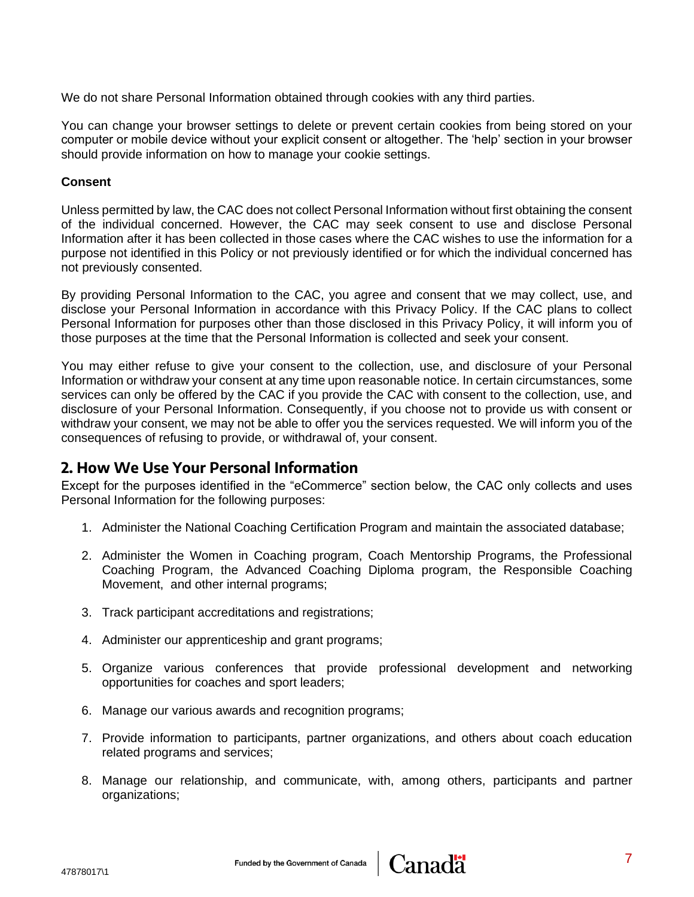We do not share Personal Information obtained through cookies with any third parties.

You can change your browser settings to delete or prevent certain cookies from being stored on your computer or mobile device without your explicit consent or altogether. The 'help' section in your browser should provide information on how to manage your cookie settings.

#### **Consent**

Unless permitted by law, the CAC does not collect Personal Information without first obtaining the consent of the individual concerned. However, the CAC may seek consent to use and disclose Personal Information after it has been collected in those cases where the CAC wishes to use the information for a purpose not identified in this Policy or not previously identified or for which the individual concerned has not previously consented.

By providing Personal Information to the CAC, you agree and consent that we may collect, use, and disclose your Personal Information in accordance with this Privacy Policy. If the CAC plans to collect Personal Information for purposes other than those disclosed in this Privacy Policy, it will inform you of those purposes at the time that the Personal Information is collected and seek your consent.

You may either refuse to give your consent to the collection, use, and disclosure of your Personal Information or withdraw your consent at any time upon reasonable notice. In certain circumstances, some services can only be offered by the CAC if you provide the CAC with consent to the collection, use, and disclosure of your Personal Information. Consequently, if you choose not to provide us with consent or withdraw your consent, we may not be able to offer you the services requested. We will inform you of the consequences of refusing to provide, or withdrawal of, your consent.

## **2. How We Use Your Personal Information**

Except for the purposes identified in the "eCommerce" section below, the CAC only collects and uses Personal Information for the following purposes:

- 1. Administer the National Coaching Certification Program and maintain the associated database;
- 2. Administer the Women in Coaching program, Coach Mentorship Programs, the Professional Coaching Program, the Advanced Coaching Diploma program, the Responsible Coaching Movement, and other internal programs;
- 3. Track participant accreditations and registrations;
- 4. Administer our apprenticeship and grant programs;
- 5. Organize various conferences that provide professional development and networking opportunities for coaches and sport leaders;
- 6. Manage our various awards and recognition programs;
- 7. Provide information to participants, partner organizations, and others about coach education related programs and services;
- 8. Manage our relationship, and communicate, with, among others, participants and partner organizations;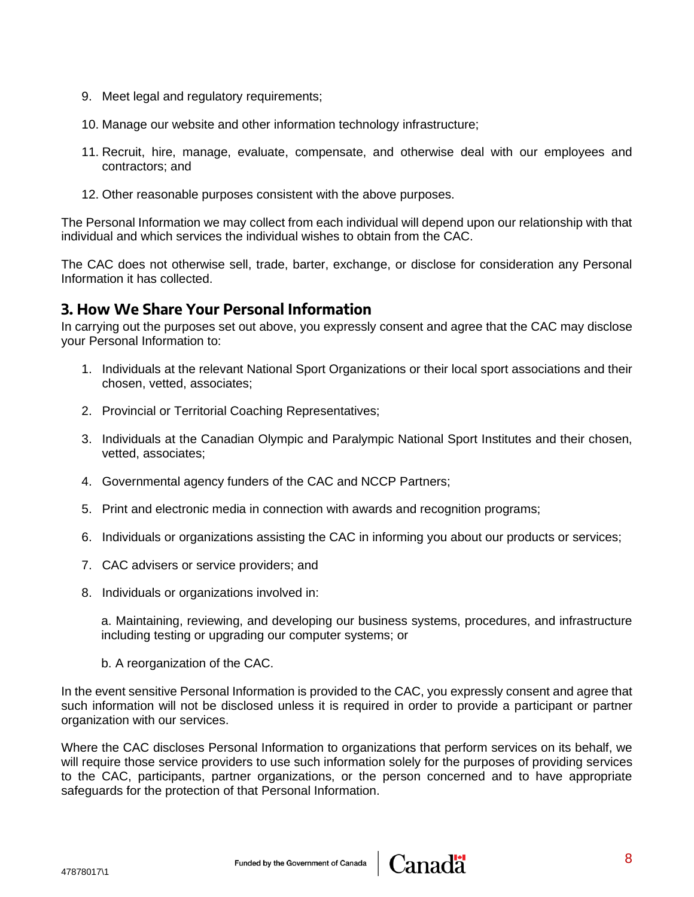- 9. Meet legal and regulatory requirements;
- 10. Manage our website and other information technology infrastructure;
- 11. Recruit, hire, manage, evaluate, compensate, and otherwise deal with our employees and contractors; and
- 12. Other reasonable purposes consistent with the above purposes.

The Personal Information we may collect from each individual will depend upon our relationship with that individual and which services the individual wishes to obtain from the CAC.

The CAC does not otherwise sell, trade, barter, exchange, or disclose for consideration any Personal Information it has collected.

## **3. How We Share Your Personal Information**

In carrying out the purposes set out above, you expressly consent and agree that the CAC may disclose your Personal Information to:

- 1. Individuals at the relevant National Sport Organizations or their local sport associations and their chosen, vetted, associates;
- 2. Provincial or Territorial Coaching Representatives;
- 3. Individuals at the Canadian Olympic and Paralympic National Sport Institutes and their chosen, vetted, associates;
- 4. Governmental agency funders of the CAC and NCCP Partners;
- 5. Print and electronic media in connection with awards and recognition programs;
- 6. Individuals or organizations assisting the CAC in informing you about our products or services;
- 7. CAC advisers or service providers; and
- 8. Individuals or organizations involved in:

a. Maintaining, reviewing, and developing our business systems, procedures, and infrastructure including testing or upgrading our computer systems; or

b. A reorganization of the CAC.

In the event sensitive Personal Information is provided to the CAC, you expressly consent and agree that such information will not be disclosed unless it is required in order to provide a participant or partner organization with our services.

Where the CAC discloses Personal Information to organizations that perform services on its behalf, we will require those service providers to use such information solely for the purposes of providing services to the CAC, participants, partner organizations, or the person concerned and to have appropriate safeguards for the protection of that Personal Information.

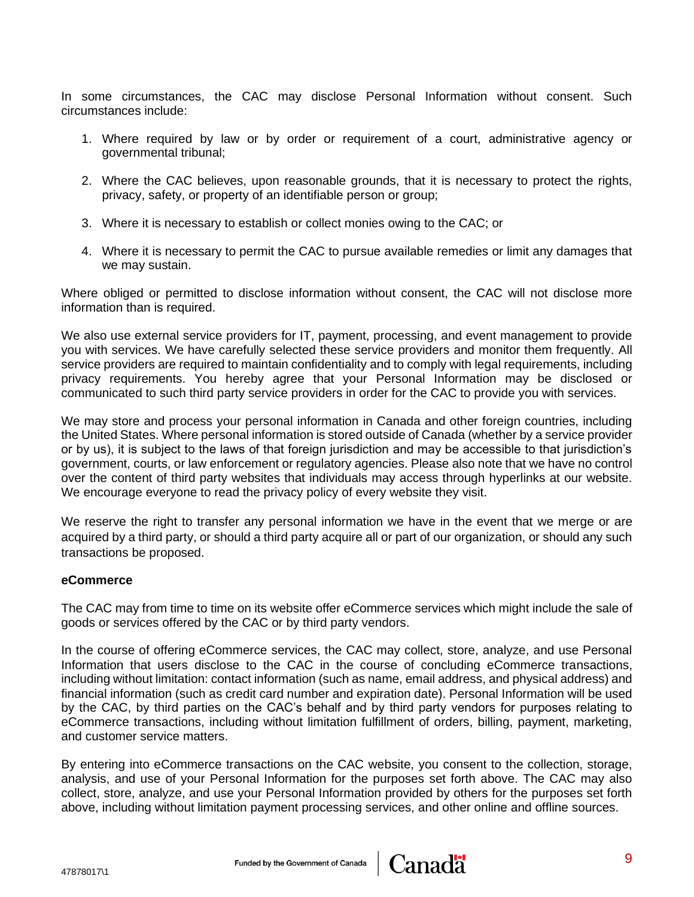In some circumstances, the CAC may disclose Personal Information without consent. Such circumstances include:

- 1. Where required by law or by order or requirement of a court, administrative agency or governmental tribunal;
- 2. Where the CAC believes, upon reasonable grounds, that it is necessary to protect the rights, privacy, safety, or property of an identifiable person or group;
- 3. Where it is necessary to establish or collect monies owing to the CAC; or
- 4. Where it is necessary to permit the CAC to pursue available remedies or limit any damages that we may sustain.

Where obliged or permitted to disclose information without consent, the CAC will not disclose more information than is required.

We also use external service providers for IT, payment, processing, and event management to provide you with services. We have carefully selected these service providers and monitor them frequently. All service providers are required to maintain confidentiality and to comply with legal requirements, including privacy requirements. You hereby agree that your Personal Information may be disclosed or communicated to such third party service providers in order for the CAC to provide you with services.

We may store and process your personal information in Canada and other foreign countries, including the United States. Where personal information is stored outside of Canada (whether by a service provider or by us), it is subject to the laws of that foreign jurisdiction and may be accessible to that jurisdiction's government, courts, or law enforcement or regulatory agencies. Please also note that we have no control over the content of third party websites that individuals may access through hyperlinks at our website. We encourage everyone to read the privacy policy of every website they visit.

We reserve the right to transfer any personal information we have in the event that we merge or are acquired by a third party, or should a third party acquire all or part of our organization, or should any such transactions be proposed.

#### **eCommerce**

The CAC may from time to time on its website offer eCommerce services which might include the sale of goods or services offered by the CAC or by third party vendors.

In the course of offering eCommerce services, the CAC may collect, store, analyze, and use Personal Information that users disclose to the CAC in the course of concluding eCommerce transactions, including without limitation: contact information (such as name, email address, and physical address) and financial information (such as credit card number and expiration date). Personal Information will be used by the CAC, by third parties on the CAC's behalf and by third party vendors for purposes relating to eCommerce transactions, including without limitation fulfillment of orders, billing, payment, marketing, and customer service matters.

By entering into eCommerce transactions on the CAC website, you consent to the collection, storage, analysis, and use of your Personal Information for the purposes set forth above. The CAC may also collect, store, analyze, and use your Personal Information provided by others for the purposes set forth above, including without limitation payment processing services, and other online and offline sources.

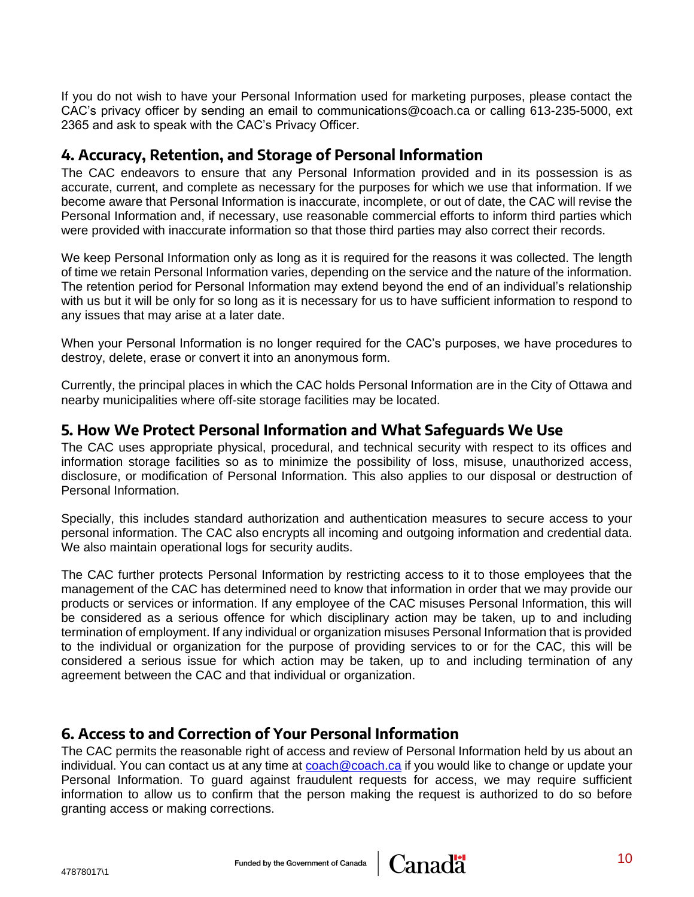If you do not wish to have your Personal Information used for marketing purposes, please contact the CAC's privacy officer by sending an email to communications@coach.ca or calling 613-235-5000, ext 2365 and ask to speak with the CAC's Privacy Officer.

## **4. Accuracy, Retention, and Storage of Personal Information**

The CAC endeavors to ensure that any Personal Information provided and in its possession is as accurate, current, and complete as necessary for the purposes for which we use that information. If we become aware that Personal Information is inaccurate, incomplete, or out of date, the CAC will revise the Personal Information and, if necessary, use reasonable commercial efforts to inform third parties which were provided with inaccurate information so that those third parties may also correct their records.

We keep Personal Information only as long as it is required for the reasons it was collected. The length of time we retain Personal Information varies, depending on the service and the nature of the information. The retention period for Personal Information may extend beyond the end of an individual's relationship with us but it will be only for so long as it is necessary for us to have sufficient information to respond to any issues that may arise at a later date.

When your Personal Information is no longer required for the CAC's purposes, we have procedures to destroy, delete, erase or convert it into an anonymous form.

Currently, the principal places in which the CAC holds Personal Information are in the City of Ottawa and nearby municipalities where off-site storage facilities may be located.

## **5. How We Protect Personal Information and What Safeguards We Use**

The CAC uses appropriate physical, procedural, and technical security with respect to its offices and information storage facilities so as to minimize the possibility of loss, misuse, unauthorized access, disclosure, or modification of Personal Information. This also applies to our disposal or destruction of Personal Information.

Specially, this includes standard authorization and authentication measures to secure access to your personal information. The CAC also encrypts all incoming and outgoing information and credential data. We also maintain operational logs for security audits.

The CAC further protects Personal Information by restricting access to it to those employees that the management of the CAC has determined need to know that information in order that we may provide our products or services or information. If any employee of the CAC misuses Personal Information, this will be considered as a serious offence for which disciplinary action may be taken, up to and including termination of employment. If any individual or organization misuses Personal Information that is provided to the individual or organization for the purpose of providing services to or for the CAC, this will be considered a serious issue for which action may be taken, up to and including termination of any agreement between the CAC and that individual or organization.

## **6. Access to and Correction of Your Personal Information**

The CAC permits the reasonable right of access and review of Personal Information held by us about an individual. You can contact us at any time at [coach@coach.ca](mailto:communications@coach.ca) if you would like to change or update your Personal Information. To guard against fraudulent requests for access, we may require sufficient information to allow us to confirm that the person making the request is authorized to do so before granting access or making corrections.

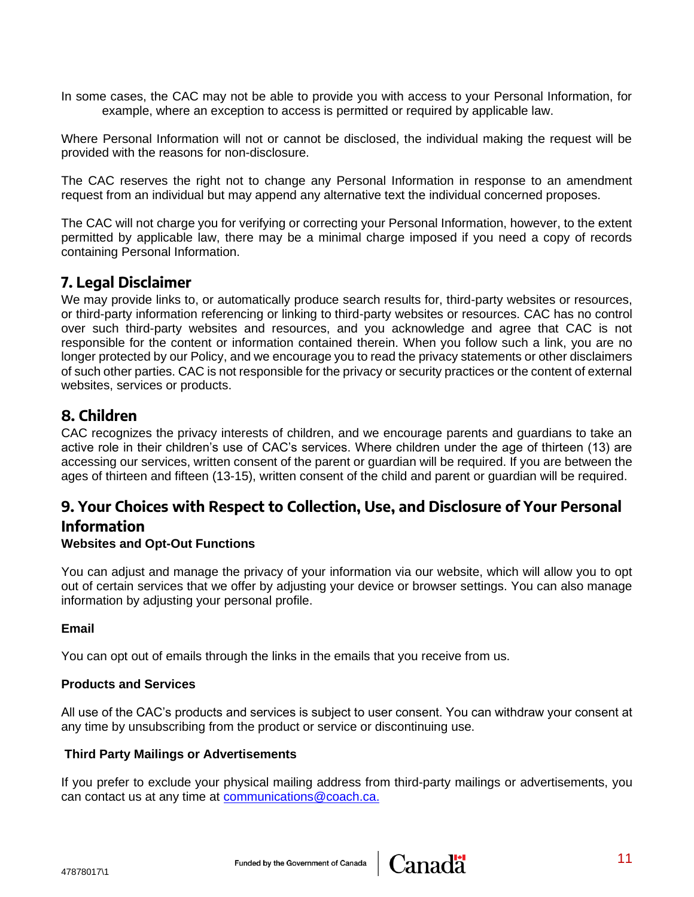In some cases, the CAC may not be able to provide you with access to your Personal Information, for example, where an exception to access is permitted or required by applicable law.

Where Personal Information will not or cannot be disclosed, the individual making the request will be provided with the reasons for non-disclosure.

The CAC reserves the right not to change any Personal Information in response to an amendment request from an individual but may append any alternative text the individual concerned proposes.

The CAC will not charge you for verifying or correcting your Personal Information, however, to the extent permitted by applicable law, there may be a minimal charge imposed if you need a copy of records containing Personal Information.

## **7. Legal Disclaimer**

We may provide links to, or automatically produce search results for, third-party websites or resources, or third-party information referencing or linking to third-party websites or resources. CAC has no control over such third-party websites and resources, and you acknowledge and agree that CAC is not responsible for the content or information contained therein. When you follow such a link, you are no longer protected by our Policy, and we encourage you to read the privacy statements or other disclaimers of such other parties. CAC is not responsible for the privacy or security practices or the content of external websites, services or products.

## **8. Children**

CAC recognizes the privacy interests of children, and we encourage parents and guardians to take an active role in their children's use of CAC's services. Where children under the age of thirteen (13) are accessing our services, written consent of the parent or guardian will be required. If you are between the ages of thirteen and fifteen (13-15), written consent of the child and parent or guardian will be required.

## **9. Your Choices with Respect to Collection, Use, and Disclosure of Your Personal Information**

## **Websites and Opt-Out Functions**

You can adjust and manage the privacy of your information via our website, which will allow you to opt out of certain services that we offer by adjusting your device or browser settings. You can also manage information by adjusting your personal profile.

## **Email**

You can opt out of emails through the links in the emails that you receive from us.

### **Products and Services**

All use of the CAC's products and services is subject to user consent. You can withdraw your consent at any time by unsubscribing from the product or service or discontinuing use.

### **Third Party Mailings or Advertisements**

If you prefer to exclude your physical mailing address from third-party mailings or advertisements, you can contact us at any time at [communications@coach.ca.](mailto:communications@coach.ca)